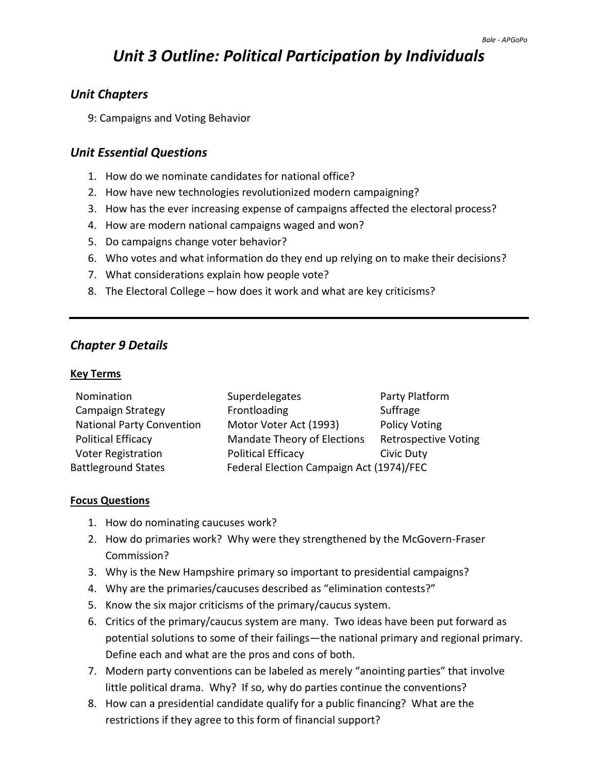# *Unit 3 Outline: Political Participation by Individuals*

## *Unit Chapters*

9: Campaigns and Voting Behavior

#### *Unit Essential Questions*

- 1. How do we nominate candidates for national office?
- 2. How have new technologies revolutionized modern campaigning?
- 3. How has the ever increasing expense of campaigns affected the electoral process?
- 4. How are modern national campaigns waged and won?
- 5. Do campaigns change voter behavior?
- 6. Who votes and what information do they end up relying on to make their decisions?
- 7. What considerations explain how people vote?
- 8. The Electoral College how does it work and what are key criticisms?

## *Chapter 9 Details*

#### **Key Terms**

| Nomination                       | Superdelegates                           | Party Platform              |
|----------------------------------|------------------------------------------|-----------------------------|
| Campaign Strategy                | Frontloading                             | Suffrage                    |
| <b>National Party Convention</b> | Motor Voter Act (1993)                   | <b>Policy Voting</b>        |
| <b>Political Efficacy</b>        | Mandate Theory of Elections              | <b>Retrospective Voting</b> |
| <b>Voter Registration</b>        | <b>Political Efficacy</b>                | Civic Duty                  |
| <b>Battleground States</b>       | Federal Election Campaign Act (1974)/FEC |                             |

#### **Focus Questions**

- 1. How do nominating caucuses work?
- 2. How do primaries work? Why were they strengthened by the McGovern-Fraser Commission?
- 3. Why is the New Hampshire primary so important to presidential campaigns?
- 4. Why are the primaries/caucuses described as "elimination contests?"
- 5. Know the six major criticisms of the primary/caucus system.
- 6. Critics of the primary/caucus system are many. Two ideas have been put forward as potential solutions to some of their failings—the national primary and regional primary. Define each and what are the pros and cons of both.
- 7. Modern party conventions can be labeled as merely "anointing parties" that involve little political drama. Why? If so, why do parties continue the conventions?
- 8. How can a presidential candidate qualify for a public financing? What are the restrictions if they agree to this form of financial support?